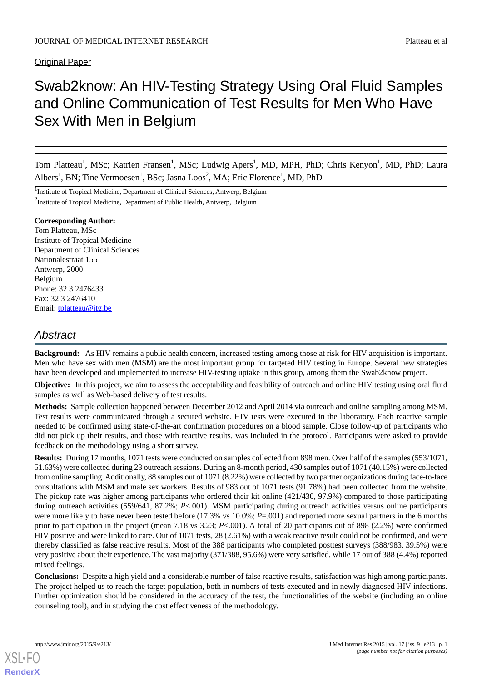# Original Paper

# Swab2know: An HIV-Testing Strategy Using Oral Fluid Samples and Online Communication of Test Results for Men Who Have Sex With Men in Belgium

Tom Platteau<sup>1</sup>, MSc; Katrien Fransen<sup>1</sup>, MSc; Ludwig Apers<sup>1</sup>, MD, MPH, PhD; Chris Kenyon<sup>1</sup>, MD, PhD; Laura Albers<sup>1</sup>, BN; Tine Vermoesen<sup>1</sup>, BSc; Jasna Loos<sup>2</sup>, MA; Eric Florence<sup>1</sup>, MD, PhD

<sup>1</sup>Institute of Tropical Medicine, Department of Clinical Sciences, Antwerp, Belgium <sup>2</sup>Institute of Tropical Medicine, Department of Public Health, Antwerp, Belgium

#### **Corresponding Author:**

Tom Platteau, MSc Institute of Tropical Medicine Department of Clinical Sciences Nationalestraat 155 Antwerp, 2000 Belgium Phone: 32 3 2476433 Fax: 32 3 2476410 Email: [tplatteau@itg.be](mailto:tplatteau@itg.be)

# *Abstract*

**Background:** As HIV remains a public health concern, increased testing among those at risk for HIV acquisition is important. Men who have sex with men (MSM) are the most important group for targeted HIV testing in Europe. Several new strategies have been developed and implemented to increase HIV-testing uptake in this group, among them the Swab2know project.

**Objective:** In this project, we aim to assess the acceptability and feasibility of outreach and online HIV testing using oral fluid samples as well as Web-based delivery of test results.

**Methods:** Sample collection happened between December 2012 and April 2014 via outreach and online sampling among MSM. Test results were communicated through a secured website. HIV tests were executed in the laboratory. Each reactive sample needed to be confirmed using state-of-the-art confirmation procedures on a blood sample. Close follow-up of participants who did not pick up their results, and those with reactive results, was included in the protocol. Participants were asked to provide feedback on the methodology using a short survey.

**Results:** During 17 months, 1071 tests were conducted on samples collected from 898 men. Over half of the samples (553/1071, 51.63%) were collected during 23 outreach sessions. During an 8-month period, 430 samples out of 1071 (40.15%) were collected from online sampling. Additionally, 88 samples out of 1071 (8.22%) were collected by two partner organizations during face-to-face consultations with MSM and male sex workers. Results of 983 out of 1071 tests (91.78%) had been collected from the website. The pickup rate was higher among participants who ordered their kit online (421/430, 97.9%) compared to those participating during outreach activities (559/641, 87.2%; *P*<.001). MSM participating during outreach activities versus online participants were more likely to have never been tested before (17.3% vs 10.0%; *P*=.001) and reported more sexual partners in the 6 months prior to participation in the project (mean 7.18 vs 3.23; *P*<.001). A total of 20 participants out of 898 (2.2%) were confirmed HIV positive and were linked to care. Out of 1071 tests, 28 (2.61%) with a weak reactive result could not be confirmed, and were thereby classified as false reactive results. Most of the 388 participants who completed posttest surveys (388/983, 39.5%) were very positive about their experience. The vast majority (371/388, 95.6%) were very satisfied, while 17 out of 388 (4.4%) reported mixed feelings.

**Conclusions:** Despite a high yield and a considerable number of false reactive results, satisfaction was high among participants. The project helped us to reach the target population, both in numbers of tests executed and in newly diagnosed HIV infections. Further optimization should be considered in the accuracy of the test, the functionalities of the website (including an online counseling tool), and in studying the cost effectiveness of the methodology.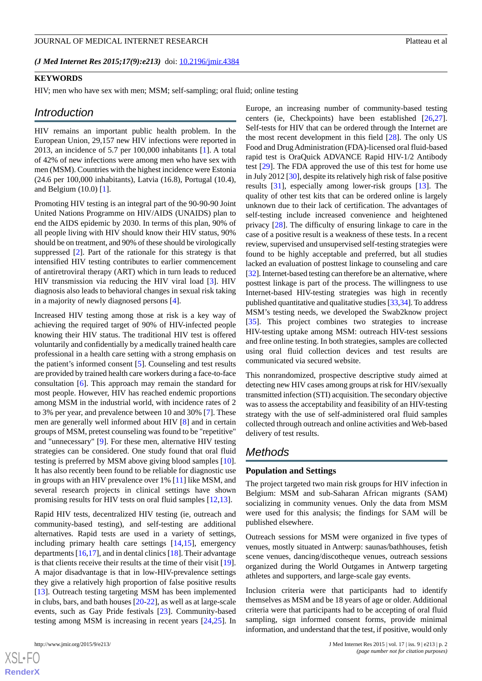*(J Med Internet Res 2015;17(9):e213)* doi:  $10.2196/$ jmir.4384

#### **KEYWORDS**

HIV; men who have sex with men; MSM; self-sampling; oral fluid; online testing

#### *Introduction*

HIV remains an important public health problem. In the European Union, 29,157 new HIV infections were reported in 2013, an incidence of 5.7 per 100,000 inhabitants [\[1](#page-6-0)]. A total of 42% of new infections were among men who have sex with men (MSM). Countries with the highest incidence were Estonia (24.6 per 100,000 inhabitants), Latvia (16.8), Portugal (10.4), and Belgium (10.0) [\[1](#page-6-0)].

Promoting HIV testing is an integral part of the 90-90-90 Joint United Nations Programme on HIV/AIDS (UNAIDS) plan to end the AIDS epidemic by 2030. In terms of this plan, 90% of all people living with HIV should know their HIV status, 90% should be on treatment, and 90% of these should be virologically suppressed [[2\]](#page-6-1). Part of the rationale for this strategy is that intensified HIV testing contributes to earlier commencement of antiretroviral therapy (ART) which in turn leads to reduced HIV transmission via reducing the HIV viral load [\[3](#page-6-2)]. HIV diagnosis also leads to behavioral changes in sexual risk taking in a majority of newly diagnosed persons [\[4](#page-6-3)].

Increased HIV testing among those at risk is a key way of achieving the required target of 90% of HIV-infected people knowing their HIV status. The traditional HIV test is offered voluntarily and confidentially by a medically trained health care professional in a health care setting with a strong emphasis on the patient's informed consent [[5\]](#page-6-4). Counseling and test results are provided by trained health care workers during a face-to-face consultation [\[6](#page-6-5)]. This approach may remain the standard for most people. However, HIV has reached endemic proportions among MSM in the industrial world, with incidence rates of 2 to 3% per year, and prevalence between 10 and 30% [[7\]](#page-7-0). These men are generally well informed about HIV [[8\]](#page-7-1) and in certain groups of MSM, pretest counseling was found to be "repetitive" and "unnecessary" [\[9](#page-7-2)]. For these men, alternative HIV testing strategies can be considered. One study found that oral fluid testing is preferred by MSM above giving blood samples [[10\]](#page-7-3). It has also recently been found to be reliable for diagnostic use in groups with an HIV prevalence over 1% [[11\]](#page-7-4) like MSM, and several research projects in clinical settings have shown promising results for HIV tests on oral fluid samples [[12](#page-7-5)[,13](#page-7-6)].

Rapid HIV tests, decentralized HIV testing (ie, outreach and community-based testing), and self-testing are additional alternatives. Rapid tests are used in a variety of settings, including primary health care settings [\[14](#page-7-7),[15\]](#page-7-8), emergency departments  $[16,17]$  $[16,17]$  $[16,17]$  $[16,17]$ , and in dental clinics  $[18]$  $[18]$ . Their advantage is that clients receive their results at the time of their visit [[19\]](#page-7-12). A major disadvantage is that in low-HIV-prevalence settings they give a relatively high proportion of false positive results [[13\]](#page-7-6). Outreach testing targeting MSM has been implemented in clubs, bars, and bath houses [[20-](#page-7-13)[22](#page-7-14)], as well as at large-scale events, such as Gay Pride festivals [[23\]](#page-7-15). Community-based testing among MSM is increasing in recent years [[24,](#page-7-16)[25](#page-7-17)]. In

 $XS$  $\cdot$ FC **[RenderX](http://www.renderx.com/)**

Europe, an increasing number of community-based testing centers (ie, Checkpoints) have been established [\[26](#page-7-18),[27\]](#page-7-19). Self-tests for HIV that can be ordered through the Internet are the most recent development in this field [\[28](#page-8-0)]. The only US Food and Drug Administration (FDA)-licensed oral fluid-based rapid test is OraQuick ADVANCE Rapid HIV-1/2 Antibody test [[29\]](#page-8-1). The FDA approved the use of this test for home use in July 2012 [[30\]](#page-8-2), despite its relatively high risk of false positive results [[31\]](#page-8-3), especially among lower-risk groups [[13\]](#page-7-6). The quality of other test kits that can be ordered online is largely unknown due to their lack of certification. The advantages of self-testing include increased convenience and heightened privacy [[28\]](#page-8-0). The difficulty of ensuring linkage to care in the case of a positive result is a weakness of these tests. In a recent review, supervised and unsupervised self-testing strategies were found to be highly acceptable and preferred, but all studies lacked an evaluation of posttest linkage to counseling and care [[32\]](#page-8-4). Internet-based testing can therefore be an alternative, where posttest linkage is part of the process. The willingness to use Internet-based HIV-testing strategies was high in recently published quantitative and qualitative studies [\[33](#page-8-5)[,34](#page-8-6)]. To address MSM's testing needs, we developed the Swab2know project [[35\]](#page-8-7). This project combines two strategies to increase HIV-testing uptake among MSM: outreach HIV-test sessions and free online testing. In both strategies, samples are collected using oral fluid collection devices and test results are communicated via secured website.

This nonrandomized, prospective descriptive study aimed at detecting new HIV cases among groups at risk for HIV/sexually transmitted infection (STI) acquisition. The secondary objective was to assess the acceptability and feasibility of an HIV-testing strategy with the use of self-administered oral fluid samples collected through outreach and online activities and Web-based delivery of test results.

# *Methods*

#### **Population and Settings**

The project targeted two main risk groups for HIV infection in Belgium: MSM and sub-Saharan African migrants (SAM) socializing in community venues. Only the data from MSM were used for this analysis; the findings for SAM will be published elsewhere.

Outreach sessions for MSM were organized in five types of venues, mostly situated in Antwerp: saunas/bathhouses, fetish scene venues, dancing/discotheque venues, outreach sessions organized during the World Outgames in Antwerp targeting athletes and supporters, and large-scale gay events.

Inclusion criteria were that participants had to identify themselves as MSM and be 18 years of age or older. Additional criteria were that participants had to be accepting of oral fluid sampling, sign informed consent forms, provide minimal information, and understand that the test, if positive, would only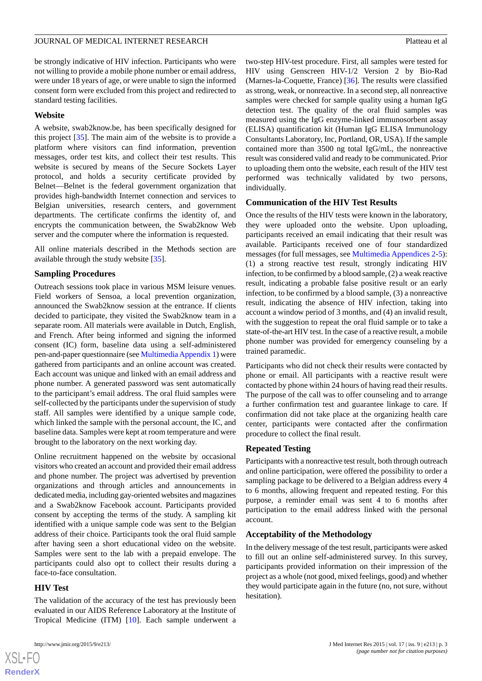be strongly indicative of HIV infection. Participants who were not willing to provide a mobile phone number or email address, were under 18 years of age, or were unable to sign the informed consent form were excluded from this project and redirected to standard testing facilities.

#### **Website**

A website, swab2know.be, has been specifically designed for this project [\[35](#page-8-7)]. The main aim of the website is to provide a platform where visitors can find information, prevention messages, order test kits, and collect their test results. This website is secured by means of the Secure Sockets Layer protocol, and holds a security certificate provided by Belnet—Belnet is the federal government organization that provides high-bandwidth Internet connection and services to Belgian universities, research centers, and government departments. The certificate confirms the identity of, and encrypts the communication between, the Swab2know Web server and the computer where the information is requested.

All online materials described in the Methods section are available through the study website [[35\]](#page-8-7).

#### **Sampling Procedures**

Outreach sessions took place in various MSM leisure venues. Field workers of Sensoa, a local prevention organization, announced the Swab2know session at the entrance. If clients decided to participate, they visited the Swab2know team in a separate room. All materials were available in Dutch, English, and French. After being informed and signing the informed consent (IC) form, baseline data using a self-administered pen-and-paper questionnaire (see [Multimedia Appendix 1](#page-6-6)) were gathered from participants and an online account was created. Each account was unique and linked with an email address and phone number. A generated password was sent automatically to the participant's email address. The oral fluid samples were self-collected by the participants under the supervision of study staff. All samples were identified by a unique sample code, which linked the sample with the personal account, the IC, and baseline data. Samples were kept at room temperature and were brought to the laboratory on the next working day.

Online recruitment happened on the website by occasional visitors who created an account and provided their email address and phone number. The project was advertised by prevention organizations and through articles and announcements in dedicated media, including gay-oriented websites and magazines and a Swab2know Facebook account. Participants provided consent by accepting the terms of the study. A sampling kit identified with a unique sample code was sent to the Belgian address of their choice. Participants took the oral fluid sample after having seen a short educational video on the website. Samples were sent to the lab with a prepaid envelope. The participants could also opt to collect their results during a face-to-face consultation.

## **HIV Test**

 $XS$  $\cdot$ FC **[RenderX](http://www.renderx.com/)**

The validation of the accuracy of the test has previously been evaluated in our AIDS Reference Laboratory at the Institute of Tropical Medicine (ITM) [[10\]](#page-7-3). Each sample underwent a

two-step HIV-test procedure. First, all samples were tested for HIV using Genscreen HIV-1/2 Version 2 by Bio-Rad (Marnes-la-Coquette, France) [\[36](#page-8-8)]. The results were classified as strong, weak, or nonreactive. In a second step, all nonreactive samples were checked for sample quality using a human IgG detection test. The quality of the oral fluid samples was measured using the IgG enzyme-linked immunosorbent assay (ELISA) quantification kit (Human IgG ELISA Immunology Consultants Laboratory, Inc, Portland, OR, USA). If the sample contained more than 3500 ng total IgG/mL, the nonreactive result was considered valid and ready to be communicated. Prior to uploading them onto the website, each result of the HIV test performed was technically validated by two persons, individually.

#### **Communication of the HIV Test Results**

Once the results of the HIV tests were known in the laboratory, they were uploaded onto the website. Upon uploading, participants received an email indicating that their result was available. Participants received one of four standardized messages (for full messages, see [Multimedia Appendices 2](#page-6-7)-[5\)](#page-6-8): (1) a strong reactive test result, strongly indicating HIV infection, to be confirmed by a blood sample, (2) a weak reactive result, indicating a probable false positive result or an early infection, to be confirmed by a blood sample, (3) a nonreactive result, indicating the absence of HIV infection, taking into account a window period of 3 months, and (4) an invalid result, with the suggestion to repeat the oral fluid sample or to take a state-of-the-art HIV test. In the case of a reactive result, a mobile phone number was provided for emergency counseling by a trained paramedic.

Participants who did not check their results were contacted by phone or email. All participants with a reactive result were contacted by phone within 24 hours of having read their results. The purpose of the call was to offer counseling and to arrange a further confirmation test and guarantee linkage to care. If confirmation did not take place at the organizing health care center, participants were contacted after the confirmation procedure to collect the final result.

#### **Repeated Testing**

Participants with a nonreactive test result, both through outreach and online participation, were offered the possibility to order a sampling package to be delivered to a Belgian address every 4 to 6 months, allowing frequent and repeated testing. For this purpose, a reminder email was sent 4 to 6 months after participation to the email address linked with the personal account.

#### **Acceptability of the Methodology**

In the delivery message of the test result, participants were asked to fill out an online self-administered survey. In this survey, participants provided information on their impression of the project as a whole (not good, mixed feelings, good) and whether they would participate again in the future (no, not sure, without hesitation).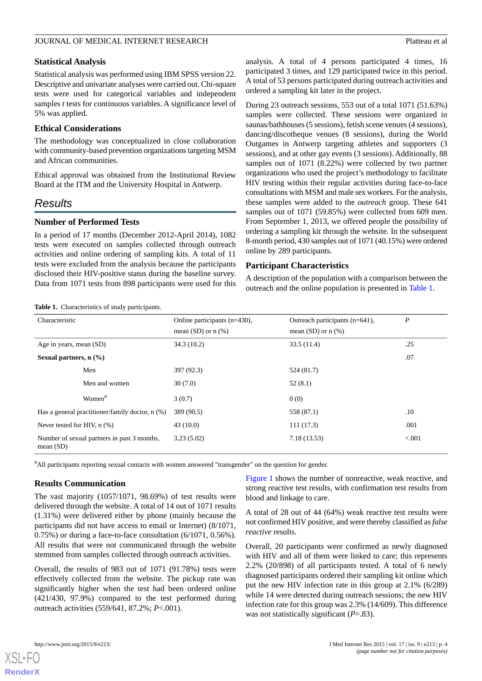# **Statistical Analysis**

Statistical analysis was performed using IBM SPSS version 22. Descriptive and univariate analyses were carried out. Chi-square tests were used for categorical variables and independent samples *t* tests for continuous variables. A significance level of 5% was applied.

# **Ethical Considerations**

The methodology was conceptualized in close collaboration with community-based prevention organizations targeting MSM and African communities.

Ethical approval was obtained from the Institutional Review Board at the ITM and the University Hospital in Antwerp.

# *Results*

# **Number of Performed Tests**

In a period of 17 months (December 2012-April 2014), 1082 tests were executed on samples collected through outreach activities and online ordering of sampling kits. A total of 11 tests were excluded from the analysis because the participants disclosed their HIV-positive status during the baseline survey. Data from 1071 tests from 898 participants were used for this

<span id="page-3-0"></span>**Table 1.** Characteristics of study participants.

analysis. A total of 4 persons participated 4 times, 16 participated 3 times, and 129 participated twice in this period. A total of 53 persons participated during outreach activities and ordered a sampling kit later in the project.

During 23 outreach sessions, 553 out of a total 1071 (51.63%) samples were collected. These sessions were organized in saunas/bathhouses (5 sessions), fetish scene venues (4 sessions), dancing/discotheque venues (8 sessions), during the World Outgames in Antwerp targeting athletes and supporters (3 sessions), and at other gay events (3 sessions). Additionally, 88 samples out of 1071 (8.22%) were collected by two partner organizations who used the project's methodology to facilitate HIV testing within their regular activities during face-to-face consultations with MSM and male sex workers. For the analysis, these samples were added to the *outreach* group. These 641 samples out of 1071 (59.85%) were collected from 609 men. From September 1, 2013, we offered people the possibility of ordering a sampling kit through the website. In the subsequent 8-month period, 430 samples out of 1071 (40.15%) were ordered online by 289 participants.

# **Participant Characteristics**

A description of the population with a comparison between the outreach and the online population is presented in [Table 1.](#page-3-0)

| Characteristic                                             |                    | Online participants $(n=430)$ ,<br>mean (SD) or $n$ (%) | Outreach participants (n=641),<br>mean $(SD)$ or $n$ $%$ ) | $\boldsymbol{P}$ |
|------------------------------------------------------------|--------------------|---------------------------------------------------------|------------------------------------------------------------|------------------|
| Age in years, mean (SD)                                    |                    | 34.3(10.2)                                              | 33.5(11.4)                                                 | .25              |
| Sexual partners, $n$ $(\frac{9}{6})$                       |                    |                                                         |                                                            | .07              |
|                                                            | Men                | 397 (92.3)                                              | 524 (81.7)                                                 |                  |
|                                                            | Men and women      | 30(7.0)                                                 | 52(8.1)                                                    |                  |
|                                                            | Women <sup>a</sup> | 3(0.7)                                                  | 0(0)                                                       |                  |
| Has a general practitioner/family doctor, n (%)            |                    | 389 (90.5)                                              | 558 (87.1)                                                 | .10              |
| Never tested for HIV, $n$ $(\%)$                           |                    | 43(10.0)                                                | 111(17.3)                                                  | .001             |
| Number of sexual partners in past 3 months,<br>mean $(SD)$ |                    | 3.23(5.02)                                              | 7.18 (13.53)                                               | < 0.001          |

<sup>a</sup>All participants reporting sexual contacts with women answered "transgender" on the question for gender.

# **Results Communication**

The vast majority (1057/1071, 98.69%) of test results were delivered through the website. A total of 14 out of 1071 results (1.31%) were delivered either by phone (mainly because the participants did not have access to email or Internet) (8/1071, 0.75%) or during a face-to-face consultation (6/1071, 0.56%). All results that were not communicated through the website stemmed from samples collected through outreach activities.

Overall, the results of 983 out of 1071 (91.78%) tests were effectively collected from the website. The pickup rate was significantly higher when the test had been ordered online (421/430, 97.9%) compared to the test performed during outreach activities (559/641, 87.2%; *P*<.001).

[Figure 1](#page-4-0) shows the number of nonreactive, weak reactive, and strong reactive test results, with confirmation test results from blood and linkage to care.

A total of 28 out of 44 (64%) weak reactive test results were not confirmed HIV positive, and were thereby classified as *false reactive* results.

Overall, 20 participants were confirmed as newly diagnosed with HIV and all of them were linked to care; this represents 2.2% (20/898) of all participants tested. A total of 6 newly diagnosed participants ordered their sampling kit online which put the new HIV infection rate in this group at 2.1% (6/289) while 14 were detected during outreach sessions; the new HIV infection rate for this group was 2.3% (14/609). This difference was not statistically significant (*P*=.83).

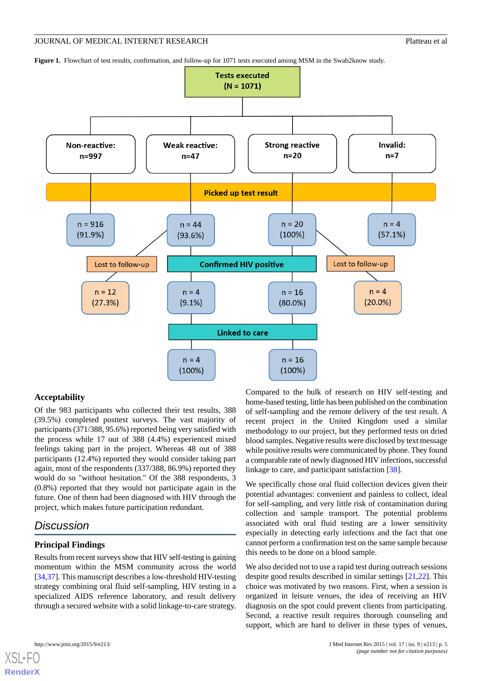<span id="page-4-0"></span>**Figure 1.** Flowchart of test results, confirmation, and follow-up for 1071 tests executed among MSM in the Swab2know study.



#### **Acceptability**

Of the 983 participants who collected their test results, 388 (39.5%) completed posttest surveys. The vast majority of participants (371/388, 95.6%) reported being very satisfied with the process while 17 out of 388 (4.4%) experienced mixed feelings taking part in the project. Whereas 48 out of 388 participants (12.4%) reported they would consider taking part again, most of the respondents (337/388, 86.9%) reported they would do so "without hesitation." Of the 388 respondents, 3 (0.8%) reported that they would not participate again in the future. One of them had been diagnosed with HIV through the project, which makes future participation redundant.

# *Discussion*

# **Principal Findings**

Results from recent surveys show that HIV self-testing is gaining momentum within the MSM community across the world [[34](#page-8-6)[,37](#page-8-9)]. This manuscript describes a low-threshold HIV-testing strategy combining oral fluid self-sampling, HIV testing in a specialized AIDS reference laboratory, and result delivery through a secured website with a solid linkage-to-care strategy.

Compared to the bulk of research on HIV self-testing and home-based testing, little has been published on the combination of self-sampling and the remote delivery of the test result. A recent project in the United Kingdom used a similar methodology to our project, but they performed tests on dried blood samples. Negative results were disclosed by text message while positive results were communicated by phone. They found a comparable rate of newly diagnosed HIV infections, successful linkage to care, and participant satisfaction [[38\]](#page-8-10).

We specifically chose oral fluid collection devices given their potential advantages: convenient and painless to collect, ideal for self-sampling, and very little risk of contamination during collection and sample transport. The potential problems associated with oral fluid testing are a lower sensitivity especially in detecting early infections and the fact that one cannot perform a confirmation test on the same sample because this needs to be done on a blood sample.

We also decided not to use a rapid test during outreach sessions despite good results described in similar settings [\[21](#page-7-20),[22\]](#page-7-14). This choice was motivated by two reasons. First, when a session is organized in leisure venues, the idea of receiving an HIV diagnosis on the spot could prevent clients from participating. Second, a reactive result requires thorough counseling and support, which are hard to deliver in these types of venues,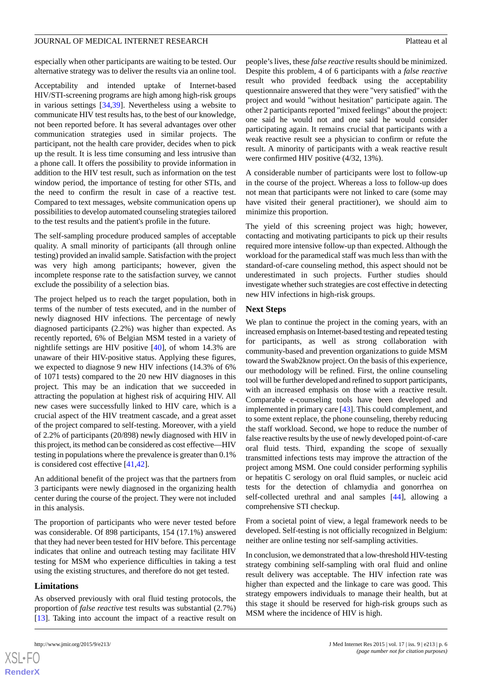especially when other participants are waiting to be tested. Our alternative strategy was to deliver the results via an online tool.

Acceptability and intended uptake of Internet-based HIV/STI-screening programs are high among high-risk groups in various settings [\[34](#page-8-6),[39\]](#page-8-11). Nevertheless using a website to communicate HIV test results has, to the best of our knowledge, not been reported before. It has several advantages over other communication strategies used in similar projects. The participant, not the health care provider, decides when to pick up the result. It is less time consuming and less intrusive than a phone call. It offers the possibility to provide information in addition to the HIV test result, such as information on the test window period, the importance of testing for other STIs, and the need to confirm the result in case of a reactive test. Compared to text messages, website communication opens up possibilities to develop automated counseling strategies tailored to the test results and the patient's profile in the future.

The self-sampling procedure produced samples of acceptable quality. A small minority of participants (all through online testing) provided an invalid sample. Satisfaction with the project was very high among participants; however, given the incomplete response rate to the satisfaction survey, we cannot exclude the possibility of a selection bias.

The project helped us to reach the target population, both in terms of the number of tests executed, and in the number of newly diagnosed HIV infections. The percentage of newly diagnosed participants (2.2%) was higher than expected. As recently reported, 6% of Belgian MSM tested in a variety of nightlife settings are HIV positive [[40\]](#page-8-12), of whom 14.3% are unaware of their HIV-positive status. Applying these figures, we expected to diagnose 9 new HIV infections (14.3% of 6% of 1071 tests) compared to the 20 new HIV diagnoses in this project. This may be an indication that we succeeded in attracting the population at highest risk of acquiring HIV. All new cases were successfully linked to HIV care, which is a crucial aspect of the HIV treatment cascade, and a great asset of the project compared to self-testing. Moreover, with a yield of 2.2% of participants (20/898) newly diagnosed with HIV in this project, its method can be considered as cost effective—HIV testing in populations where the prevalence is greater than 0.1% is considered cost effective [\[41](#page-8-13),[42\]](#page-8-14).

An additional benefit of the project was that the partners from 3 participants were newly diagnosed in the organizing health center during the course of the project. They were not included in this analysis.

The proportion of participants who were never tested before was considerable. Of 898 participants, 154 (17.1%) answered that they had never been tested for HIV before. This percentage indicates that online and outreach testing may facilitate HIV testing for MSM who experience difficulties in taking a test using the existing structures, and therefore do not get tested.

#### **Limitations**

As observed previously with oral fluid testing protocols, the proportion of *false reactive* test results was substantial (2.7%) [[13\]](#page-7-6). Taking into account the impact of a reactive result on

people's lives, these *false reactive* results should be minimized. Despite this problem, 4 of 6 participants with a *false reactive* result who provided feedback using the acceptability questionnaire answered that they were "very satisfied" with the project and would "without hesitation" participate again. The other 2 participants reported "mixed feelings" about the project: one said he would not and one said he would consider participating again. It remains crucial that participants with a weak reactive result see a physician to confirm or refute the result. A minority of participants with a weak reactive result were confirmed HIV positive (4/32, 13%).

A considerable number of participants were lost to follow-up in the course of the project. Whereas a loss to follow-up does not mean that participants were not linked to care (some may have visited their general practitioner), we should aim to minimize this proportion.

The yield of this screening project was high; however, contacting and motivating participants to pick up their results required more intensive follow-up than expected. Although the workload for the paramedical staff was much less than with the standard-of-care counseling method, this aspect should not be underestimated in such projects. Further studies should investigate whether such strategies are cost effective in detecting new HIV infections in high-risk groups.

#### **Next Steps**

We plan to continue the project in the coming years, with an increased emphasis on Internet-based testing and repeated testing for participants, as well as strong collaboration with community-based and prevention organizations to guide MSM toward the Swab2know project. On the basis of this experience, our methodology will be refined. First, the online counseling tool will be further developed and refined to support participants, with an increased emphasis on those with a reactive result. Comparable e-counseling tools have been developed and implemented in primary care [\[43](#page-8-15)]. This could complement, and to some extent replace, the phone counseling, thereby reducing the staff workload. Second, we hope to reduce the number of false reactive results by the use of newly developed point-of-care oral fluid tests. Third, expanding the scope of sexually transmitted infections tests may improve the attraction of the project among MSM. One could consider performing syphilis or hepatitis C serology on oral fluid samples, or nucleic acid tests for the detection of chlamydia and gonorrhea on self-collected urethral and anal samples [[44\]](#page-8-16), allowing a comprehensive STI checkup.

From a societal point of view, a legal framework needs to be developed. Self-testing is not officially recognized in Belgium: neither are online testing nor self-sampling activities.

In conclusion, we demonstrated that a low-threshold HIV-testing strategy combining self-sampling with oral fluid and online result delivery was acceptable. The HIV infection rate was higher than expected and the linkage to care was good. This strategy empowers individuals to manage their health, but at this stage it should be reserved for high-risk groups such as MSM where the incidence of HIV is high.

```
XS\cdotFC
RenderX
```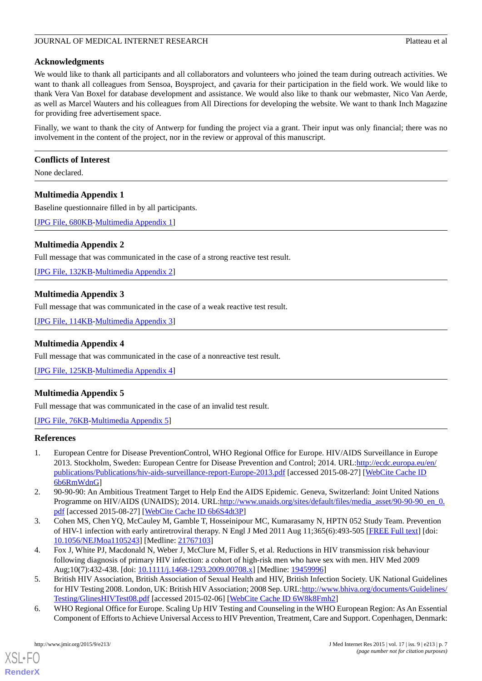# **Acknowledgments**

We would like to thank all participants and all collaborators and volunteers who joined the team during outreach activities. We want to thank all colleagues from Sensoa, Boysproject, and çavaria for their participation in the field work. We would like to thank Vera Van Boxel for database development and assistance. We would also like to thank our webmaster, Nico Van Aerde, as well as Marcel Wauters and his colleagues from All Directions for developing the website. We want to thank Inch Magazine for providing free advertisement space.

Finally, we want to thank the city of Antwerp for funding the project via a grant. Their input was only financial; there was no involvement in the content of the project, nor in the review or approval of this manuscript.

# **Conflicts of Interest**

<span id="page-6-6"></span>None declared.

# **Multimedia Appendix 1**

Baseline questionnaire filled in by all participants.

<span id="page-6-7"></span>[[JPG File, 680KB](https://jmir.org/api/download?alt_name=jmir_v17i9e213_app1.jpg&filename=c7dcd18bb983af39e4170c3cc6109372.jpg)-[Multimedia Appendix 1](https://jmir.org/api/download?alt_name=jmir_v17i9e213_app1.jpg&filename=c7dcd18bb983af39e4170c3cc6109372.jpg)]

# **Multimedia Appendix 2**

Full message that was communicated in the case of a strong reactive test result.

[[JPG File, 132KB](https://jmir.org/api/download?alt_name=jmir_v17i9e213_app2.jpg&filename=89f42139e1d8a77843a0cb6d9ff49d8c.jpg)-[Multimedia Appendix 2](https://jmir.org/api/download?alt_name=jmir_v17i9e213_app2.jpg&filename=89f42139e1d8a77843a0cb6d9ff49d8c.jpg)]

# **Multimedia Appendix 3**

Full message that was communicated in the case of a weak reactive test result.

[[JPG File, 114KB](https://jmir.org/api/download?alt_name=jmir_v17i9e213_app3.jpg&filename=16f96404eca07af4dc3fffd1eab7642c.jpg)-[Multimedia Appendix 3](https://jmir.org/api/download?alt_name=jmir_v17i9e213_app3.jpg&filename=16f96404eca07af4dc3fffd1eab7642c.jpg)]

# **Multimedia Appendix 4**

<span id="page-6-8"></span>Full message that was communicated in the case of a nonreactive test result.

[[JPG File, 125KB](https://jmir.org/api/download?alt_name=jmir_v17i9e213_app4.jpg&filename=0efddf777ebd0d941185caebe5263f42.jpg)-[Multimedia Appendix 4](https://jmir.org/api/download?alt_name=jmir_v17i9e213_app4.jpg&filename=0efddf777ebd0d941185caebe5263f42.jpg)]

# **Multimedia Appendix 5**

<span id="page-6-0"></span>Full message that was communicated in the case of an invalid test result.

#### [[JPG File, 76KB-Multimedia Appendix 5](https://jmir.org/api/download?alt_name=jmir_v17i9e213_app5.jpg&filename=85958bf57c51f10b617260418690838e.jpg)]

#### <span id="page-6-1"></span>**References**

- <span id="page-6-2"></span>1. European Centre for Disease PreventionControl, WHO Regional Office for Europe. HIV/AIDS Surveillance in Europe 2013. Stockholm, Sweden: European Centre for Disease Prevention and Control; 2014. URL[:http://ecdc.europa.eu/en/](http://ecdc.europa.eu/en/publications/Publications/hiv-aids-surveillance-report-Europe-2013.pdf) [publications/Publications/hiv-aids-surveillance-report-Europe-2013.pdf](http://ecdc.europa.eu/en/publications/Publications/hiv-aids-surveillance-report-Europe-2013.pdf) [accessed 2015-08-27] [[WebCite Cache ID](http://www.webcitation.org/
                                                6b6RmWdnG) [6b6RmWdnG\]](http://www.webcitation.org/
                                                6b6RmWdnG)
- <span id="page-6-3"></span>2. 90-90-90: An Ambitious Treatment Target to Help End the AIDS Epidemic. Geneva, Switzerland: Joint United Nations Programme on HIV/AIDS (UNAIDS); 2014. URL:[http://www.unaids.org/sites/default/files/media\\_asset/90-90-90\\_en\\_0.](http://www.unaids.org/sites/default/files/media_asset/90-90-90_en_0.pdf) [pdf](http://www.unaids.org/sites/default/files/media_asset/90-90-90_en_0.pdf) [accessed 2015-08-27] [[WebCite Cache ID 6b6S4dt3P\]](http://www.webcitation.org/
                                                6b6S4dt3P)
- <span id="page-6-4"></span>3. Cohen MS, Chen YQ, McCauley M, Gamble T, Hosseinipour MC, Kumarasamy N, HPTN 052 Study Team. Prevention of HIV-1 infection with early antiretroviral therapy. N Engl J Med 2011 Aug 11;365(6):493-505 [[FREE Full text](http://europepmc.org/abstract/MED/21767103)] [doi: [10.1056/NEJMoa1105243](http://dx.doi.org/10.1056/NEJMoa1105243)] [Medline: [21767103](http://www.ncbi.nlm.nih.gov/entrez/query.fcgi?cmd=Retrieve&db=PubMed&list_uids=21767103&dopt=Abstract)]
- <span id="page-6-5"></span>4. Fox J, White PJ, Macdonald N, Weber J, McClure M, Fidler S, et al. Reductions in HIV transmission risk behaviour following diagnosis of primary HIV infection: a cohort of high-risk men who have sex with men. HIV Med 2009 Aug;10(7):432-438. [doi: [10.1111/j.1468-1293.2009.00708.x](http://dx.doi.org/10.1111/j.1468-1293.2009.00708.x)] [Medline: [19459996\]](http://www.ncbi.nlm.nih.gov/entrez/query.fcgi?cmd=Retrieve&db=PubMed&list_uids=19459996&dopt=Abstract)
- 5. British HIV Association, British Association of Sexual Health and HIV, British Infection Society. UK National Guidelines for HIV Testing 2008. London, UK: British HIV Association; 2008 Sep. URL:[http://www.bhiva.org/documents/Guidelines/](http://www.bhiva.org/documents/Guidelines/Testing/GlinesHIVTest08.pdf) [Testing/GlinesHIVTest08.pdf](http://www.bhiva.org/documents/Guidelines/Testing/GlinesHIVTest08.pdf) [accessed 2015-02-06] [[WebCite Cache ID 6W8k8Fmh2](http://www.webcitation.org/
                                                6W8k8Fmh2)]
- 6. WHO Regional Office for Europe. Scaling Up HIV Testing and Counseling in the WHO European Region: As An Essential Component of Efforts to Achieve Universal Access to HIV Prevention, Treatment, Care and Support. Copenhagen, Denmark: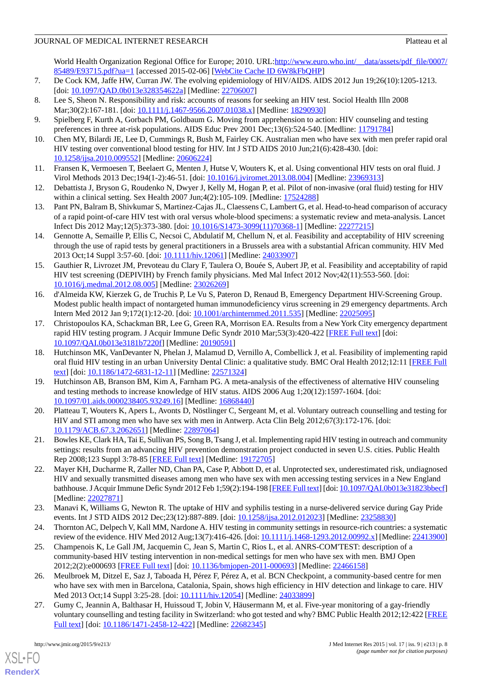World Health Organization Regional Office for Europe; 2010. URL[:http://www.euro.who.int/\\_\\_data/assets/pdf\\_file/0007/](http://www.euro.who.int/__data/assets/pdf_file/0007/85489/E93715.pdf?ua=1) [85489/E93715.pdf?ua=1](http://www.euro.who.int/__data/assets/pdf_file/0007/85489/E93715.pdf?ua=1) [accessed 2015-02-06] [[WebCite Cache ID 6W8kFbQHP\]](http://www.webcitation.org/
                                                6W8kFbQHP)

- <span id="page-7-0"></span>7. De Cock KM, Jaffe HW, Curran JW. The evolving epidemiology of HIV/AIDS. AIDS 2012 Jun 19;26(10):1205-1213. [doi: <u>[10.1097/QAD.0b013e328354622a](http://dx.doi.org/10.1097/QAD.0b013e328354622a)</u>] [Medline: [22706007](http://www.ncbi.nlm.nih.gov/entrez/query.fcgi?cmd=Retrieve&db=PubMed&list_uids=22706007&dopt=Abstract)]
- <span id="page-7-2"></span><span id="page-7-1"></span>8. Lee S, Sheon N. Responsibility and risk: accounts of reasons for seeking an HIV test. Sociol Health Illn 2008 Mar;30(2):167-181. [doi: [10.1111/j.1467-9566.2007.01038.x\]](http://dx.doi.org/10.1111/j.1467-9566.2007.01038.x) [Medline: [18290930](http://www.ncbi.nlm.nih.gov/entrez/query.fcgi?cmd=Retrieve&db=PubMed&list_uids=18290930&dopt=Abstract)]
- <span id="page-7-3"></span>9. Spielberg F, Kurth A, Gorbach PM, Goldbaum G. Moving from apprehension to action: HIV counseling and testing preferences in three at-risk populations. AIDS Educ Prev 2001 Dec;13(6):524-540. [Medline: [11791784\]](http://www.ncbi.nlm.nih.gov/entrez/query.fcgi?cmd=Retrieve&db=PubMed&list_uids=11791784&dopt=Abstract)
- <span id="page-7-4"></span>10. Chen MY, Bilardi JE, Lee D, Cummings R, Bush M, Fairley CK. Australian men who have sex with men prefer rapid oral HIV testing over conventional blood testing for HIV. Int J STD AIDS 2010 Jun;21(6):428-430. [doi: [10.1258/ijsa.2010.009552\]](http://dx.doi.org/10.1258/ijsa.2010.009552) [Medline: [20606224](http://www.ncbi.nlm.nih.gov/entrez/query.fcgi?cmd=Retrieve&db=PubMed&list_uids=20606224&dopt=Abstract)]
- <span id="page-7-5"></span>11. Fransen K, Vermoesen T, Beelaert G, Menten J, Hutse V, Wouters K, et al. Using conventional HIV tests on oral fluid. J Virol Methods 2013 Dec;194(1-2):46-51. [doi: [10.1016/j.jviromet.2013.08.004\]](http://dx.doi.org/10.1016/j.jviromet.2013.08.004) [Medline: [23969313\]](http://www.ncbi.nlm.nih.gov/entrez/query.fcgi?cmd=Retrieve&db=PubMed&list_uids=23969313&dopt=Abstract)
- <span id="page-7-6"></span>12. Debattista J, Bryson G, Roudenko N, Dwyer J, Kelly M, Hogan P, et al. Pilot of non-invasive (oral fluid) testing for HIV within a clinical setting. Sex Health 2007 Jun; 4(2): 105-109. [Medline: [17524288](http://www.ncbi.nlm.nih.gov/entrez/query.fcgi?cmd=Retrieve&db=PubMed&list_uids=17524288&dopt=Abstract)]
- <span id="page-7-7"></span>13. Pant PN, Balram B, Shivkumar S, Martinez-Cajas JL, Claessens C, Lambert G, et al. Head-to-head comparison of accuracy of a rapid point-of-care HIV test with oral versus whole-blood specimens: a systematic review and meta-analysis. Lancet Infect Dis 2012 May;12(5):373-380. [doi: [10.1016/S1473-3099\(11\)70368-1\]](http://dx.doi.org/10.1016/S1473-3099(11)70368-1) [Medline: [22277215](http://www.ncbi.nlm.nih.gov/entrez/query.fcgi?cmd=Retrieve&db=PubMed&list_uids=22277215&dopt=Abstract)]
- <span id="page-7-8"></span>14. Gennotte A, Semaille P, Ellis C, Necsoi C, Abdulatif M, Chellum N, et al. Feasibility and acceptability of HIV screening through the use of rapid tests by general practitioners in a Brussels area with a substantial African community. HIV Med 2013 Oct;14 Suppl 3:57-60. [doi: [10.1111/hiv.12061\]](http://dx.doi.org/10.1111/hiv.12061) [Medline: [24033907](http://www.ncbi.nlm.nih.gov/entrez/query.fcgi?cmd=Retrieve&db=PubMed&list_uids=24033907&dopt=Abstract)]
- <span id="page-7-9"></span>15. Gauthier R, Livrozet JM, Prevoteau du Clary F, Taulera O, Bouée S, Aubert JP, et al. Feasibility and acceptability of rapid HIV test screening (DEPIVIH) by French family physicians. Med Mal Infect 2012 Nov;42(11):553-560. [doi: [10.1016/j.medmal.2012.08.005\]](http://dx.doi.org/10.1016/j.medmal.2012.08.005) [Medline: [23026269\]](http://www.ncbi.nlm.nih.gov/entrez/query.fcgi?cmd=Retrieve&db=PubMed&list_uids=23026269&dopt=Abstract)
- <span id="page-7-10"></span>16. d'Almeida KW, Kierzek G, de Truchis P, Le Vu S, Pateron D, Renaud B, Emergency Department HIV-Screening Group. Modest public health impact of nontargeted human immunodeficiency virus screening in 29 emergency departments. Arch Intern Med 2012 Jan 9;172(1):12-20. [doi: [10.1001/archinternmed.2011.535](http://dx.doi.org/10.1001/archinternmed.2011.535)] [Medline: [22025095\]](http://www.ncbi.nlm.nih.gov/entrez/query.fcgi?cmd=Retrieve&db=PubMed&list_uids=22025095&dopt=Abstract)
- <span id="page-7-11"></span>17. Christopoulos KA, Schackman BR, Lee G, Green RA, Morrison EA. Results from a New York City emergency department rapid HIV testing program. J Acquir Immune Defic Syndr 2010 Mar;53(3):420-422 [\[FREE Full text\]](http://europepmc.org/abstract/MED/20190591) [doi: [10.1097/QAI.0b013e3181b7220f\]](http://dx.doi.org/10.1097/QAI.0b013e3181b7220f) [Medline: [20190591\]](http://www.ncbi.nlm.nih.gov/entrez/query.fcgi?cmd=Retrieve&db=PubMed&list_uids=20190591&dopt=Abstract)
- <span id="page-7-12"></span>18. Hutchinson MK, VanDevanter N, Phelan J, Malamud D, Vernillo A, Combellick J, et al. Feasibility of implementing rapid oral fluid HIV testing in an urban University Dental Clinic: a qualitative study. BMC Oral Health 2012;12:11 [[FREE Full](http://www.biomedcentral.com/1472-6831/12/11) [text](http://www.biomedcentral.com/1472-6831/12/11)] [doi: [10.1186/1472-6831-12-11\]](http://dx.doi.org/10.1186/1472-6831-12-11) [Medline: [22571324\]](http://www.ncbi.nlm.nih.gov/entrez/query.fcgi?cmd=Retrieve&db=PubMed&list_uids=22571324&dopt=Abstract)
- <span id="page-7-20"></span><span id="page-7-13"></span>19. Hutchinson AB, Branson BM, Kim A, Farnham PG. A meta-analysis of the effectiveness of alternative HIV counseling and testing methods to increase knowledge of HIV status. AIDS 2006 Aug 1;20(12):1597-1604. [doi: [10.1097/01.aids.0000238405.93249.16\]](http://dx.doi.org/10.1097/01.aids.0000238405.93249.16) [Medline: [16868440\]](http://www.ncbi.nlm.nih.gov/entrez/query.fcgi?cmd=Retrieve&db=PubMed&list_uids=16868440&dopt=Abstract)
- <span id="page-7-14"></span>20. Platteau T, Wouters K, Apers L, Avonts D, Nöstlinger C, Sergeant M, et al. Voluntary outreach counselling and testing for HIV and STI among men who have sex with men in Antwerp. Acta Clin Belg 2012;67(3):172-176. [doi: [10.1179/ACB.67.3.2062651\]](http://dx.doi.org/10.1179/ACB.67.3.2062651) [Medline: [22897064](http://www.ncbi.nlm.nih.gov/entrez/query.fcgi?cmd=Retrieve&db=PubMed&list_uids=22897064&dopt=Abstract)]
- 21. Bowles KE, Clark HA, Tai E, Sullivan PS, Song B, Tsang J, et al. Implementing rapid HIV testing in outreach and community settings: results from an advancing HIV prevention demonstration project conducted in seven U.S. cities. Public Health Rep 2008;123 Suppl 3:78-85 [\[FREE Full text\]](http://europepmc.org/abstract/MED/19172705) [Medline: [19172705](http://www.ncbi.nlm.nih.gov/entrez/query.fcgi?cmd=Retrieve&db=PubMed&list_uids=19172705&dopt=Abstract)]
- <span id="page-7-16"></span><span id="page-7-15"></span>22. Mayer KH, Ducharme R, Zaller ND, Chan PA, Case P, Abbott D, et al. Unprotected sex, underestimated risk, undiagnosed HIV and sexually transmitted diseases among men who have sex with men accessing testing services in a New England bathhouse. J Acquir Immune Defic Syndr 2012 Feb 1;59(2):194-198 [\[FREE Full text](http://europepmc.org/abstract/MED/22027871)] [doi: [10.1097/QAI.0b013e31823bbecf\]](http://dx.doi.org/10.1097/QAI.0b013e31823bbecf) [Medline: [22027871](http://www.ncbi.nlm.nih.gov/entrez/query.fcgi?cmd=Retrieve&db=PubMed&list_uids=22027871&dopt=Abstract)]
- <span id="page-7-17"></span>23. Manavi K, Williams G, Newton R. The uptake of HIV and syphilis testing in a nurse-delivered service during Gay Pride events. Int J STD AIDS 2012 Dec; 23(12): 887-889. [doi: 10.1258/ijsa. 2012.012023] [Medline: [23258830\]](http://www.ncbi.nlm.nih.gov/entrez/query.fcgi?cmd=Retrieve&db=PubMed&list_uids=23258830&dopt=Abstract)
- <span id="page-7-18"></span>24. Thornton AC, Delpech V, Kall MM, Nardone A. HIV testing in community settings in resource-rich countries: a systematic review of the evidence. HIV Med 2012 Aug;13(7):416-426. [doi: [10.1111/j.1468-1293.2012.00992.x](http://dx.doi.org/10.1111/j.1468-1293.2012.00992.x)] [Medline: [22413900\]](http://www.ncbi.nlm.nih.gov/entrez/query.fcgi?cmd=Retrieve&db=PubMed&list_uids=22413900&dopt=Abstract)
- <span id="page-7-19"></span>25. Champenois K, Le Gall JM, Jacquemin C, Jean S, Martin C, Rios L, et al. ANRS-COM'TEST: description of a community-based HIV testing intervention in non-medical settings for men who have sex with men. BMJ Open 2012;2(2):e000693 [\[FREE Full text](http://bmjopen.bmj.com/cgi/pmidlookup?view=long&pmid=22466158)] [doi: [10.1136/bmjopen-2011-000693\]](http://dx.doi.org/10.1136/bmjopen-2011-000693) [Medline: [22466158](http://www.ncbi.nlm.nih.gov/entrez/query.fcgi?cmd=Retrieve&db=PubMed&list_uids=22466158&dopt=Abstract)]
- 26. Meulbroek M, Ditzel E, Saz J, Taboada H, Pérez F, Pérez A, et al. BCN Checkpoint, a community-based centre for men who have sex with men in Barcelona, Catalonia, Spain, shows high efficiency in HIV detection and linkage to care. HIV Med 2013 Oct;14 Suppl 3:25-28. [doi: [10.1111/hiv.12054\]](http://dx.doi.org/10.1111/hiv.12054) [Medline: [24033899](http://www.ncbi.nlm.nih.gov/entrez/query.fcgi?cmd=Retrieve&db=PubMed&list_uids=24033899&dopt=Abstract)]
- 27. Gumy C, Jeannin A, Balthasar H, Huissoud T, Jobin V, Häusermann M, et al. Five-year monitoring of a gay-friendly voluntary counselling and testing facility in Switzerland: who got tested and why? BMC Public Health 2012;12:422 [\[FREE](http://www.biomedcentral.com/1471-2458/12/422) [Full text\]](http://www.biomedcentral.com/1471-2458/12/422) [doi: [10.1186/1471-2458-12-422\]](http://dx.doi.org/10.1186/1471-2458-12-422) [Medline: [22682345](http://www.ncbi.nlm.nih.gov/entrez/query.fcgi?cmd=Retrieve&db=PubMed&list_uids=22682345&dopt=Abstract)]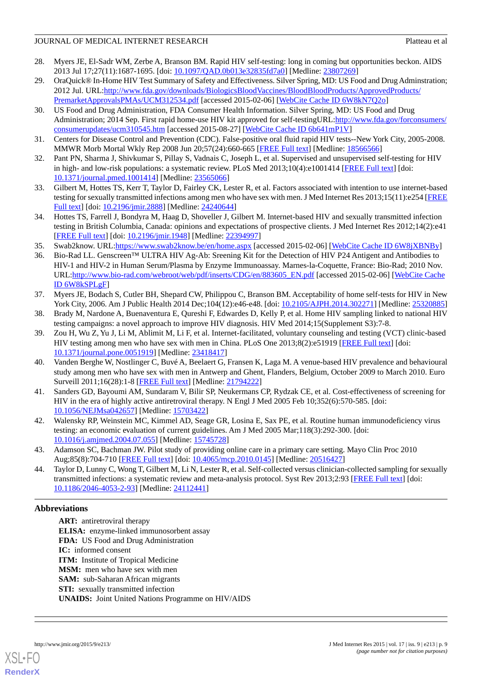- <span id="page-8-0"></span>28. Myers JE, El-Sadr WM, Zerbe A, Branson BM. Rapid HIV self-testing: long in coming but opportunities beckon. AIDS 2013 Jul 17;27(11):1687-1695. [doi: [10.1097/QAD.0b013e32835fd7a0\]](http://dx.doi.org/10.1097/QAD.0b013e32835fd7a0) [Medline: [23807269\]](http://www.ncbi.nlm.nih.gov/entrez/query.fcgi?cmd=Retrieve&db=PubMed&list_uids=23807269&dopt=Abstract)
- <span id="page-8-1"></span>29. OraQuick® In-Home HIV Test Summary of Safety and Effectiveness. Silver Spring, MD: US Food and Drug Adminstration; 2012 Jul. URL[:http://www.fda.gov/downloads/BiologicsBloodVaccines/BloodBloodProducts/ApprovedProducts/](http://www.fda.gov/downloads/BiologicsBloodVaccines/BloodBloodProducts/ApprovedProducts/PremarketApprovalsPMAs/UCM312534.pdf) [PremarketApprovalsPMAs/UCM312534.pdf](http://www.fda.gov/downloads/BiologicsBloodVaccines/BloodBloodProducts/ApprovedProducts/PremarketApprovalsPMAs/UCM312534.pdf) [accessed 2015-02-06] [[WebCite Cache ID 6W8kN7Q2o](http://www.webcitation.org/
                                                6W8kN7Q2o)]
- <span id="page-8-2"></span>30. US Food and Drug Administration, FDA Consumer Health Information. Silver Spring, MD: US Food and Drug Administration; 2014 Sep. First rapid home-use HIV kit approved for self-testingURL[:http://www.fda.gov/forconsumers/](http://www.fda.gov/forconsumers/consumerupdates/ucm310545.htm) [consumerupdates/ucm310545.htm](http://www.fda.gov/forconsumers/consumerupdates/ucm310545.htm) [accessed 2015-08-27] [\[WebCite Cache ID 6b641mP1V\]](http://www.webcitation.org/
                                                6b641mP1V)
- <span id="page-8-4"></span><span id="page-8-3"></span>31. Centers for Disease Control and Prevention (CDC). False-positive oral fluid rapid HIV tests--New York City, 2005-2008. MMWR Morb Mortal Wkly Rep 2008 Jun 20;57(24):660-665 [[FREE Full text](http://www.cdc.gov/mmwr/preview/mmwrhtml/mm5724a4.htm)] [Medline: [18566566\]](http://www.ncbi.nlm.nih.gov/entrez/query.fcgi?cmd=Retrieve&db=PubMed&list_uids=18566566&dopt=Abstract)
- <span id="page-8-5"></span>32. Pant PN, Sharma J, Shivkumar S, Pillay S, Vadnais C, Joseph L, et al. Supervised and unsupervised self-testing for HIV in high- and low-risk populations: a systematic review. PLoS Med 2013;10(4):e1001414 [[FREE Full text](http://dx.plos.org/10.1371/journal.pmed.1001414)] [doi: [10.1371/journal.pmed.1001414](http://dx.doi.org/10.1371/journal.pmed.1001414)] [Medline: [23565066](http://www.ncbi.nlm.nih.gov/entrez/query.fcgi?cmd=Retrieve&db=PubMed&list_uids=23565066&dopt=Abstract)]
- <span id="page-8-6"></span>33. Gilbert M, Hottes TS, Kerr T, Taylor D, Fairley CK, Lester R, et al. Factors associated with intention to use internet-based testing for sexually transmitted infections among men who have sex with men. J Med Internet Res 2013;15(11):e254 [\[FREE](http://www.jmir.org/2013/11/e254/) [Full text\]](http://www.jmir.org/2013/11/e254/) [doi: [10.2196/jmir.2888](http://dx.doi.org/10.2196/jmir.2888)] [Medline: [24240644\]](http://www.ncbi.nlm.nih.gov/entrez/query.fcgi?cmd=Retrieve&db=PubMed&list_uids=24240644&dopt=Abstract)
- <span id="page-8-8"></span><span id="page-8-7"></span>34. Hottes TS, Farrell J, Bondyra M, Haag D, Shoveller J, Gilbert M. Internet-based HIV and sexually transmitted infection testing in British Columbia, Canada: opinions and expectations of prospective clients. J Med Internet Res 2012;14(2):e41 [[FREE Full text](http://www.jmir.org/2012/2/e41/)] [doi: [10.2196/jmir.1948](http://dx.doi.org/10.2196/jmir.1948)] [Medline: [22394997](http://www.ncbi.nlm.nih.gov/entrez/query.fcgi?cmd=Retrieve&db=PubMed&list_uids=22394997&dopt=Abstract)]
- 35. Swab2know. URL:<https://www.swab2know.be/en/home.aspx>[accessed 2015-02-06] [[WebCite Cache ID 6W8jXBNBy\]](http://www.webcitation.org/
                                6W8jXBNBy)
- <span id="page-8-9"></span>36. Bio-Rad LL. Genscreen™ ULTRA HIV Ag-Ab: Sreening Kit for the Detection of HIV P24 Antigent and Antibodies to HIV-1 and HIV-2 in Human Serum/Plasma by Enzyme Immunoassay. Marnes-la-Coquette, France: Bio-Rad; 2010 Nov. URL[:http://www.bio-rad.com/webroot/web/pdf/inserts/CDG/en/883605\\_EN.pdf](http://www.bio-rad.com/webroot/web/pdf/inserts/CDG/en/883605_EN.pdf) [accessed 2015-02-06] [[WebCite Cache](http://www.webcitation.org/
                                                6W8kSPLgF) [ID 6W8kSPLgF\]](http://www.webcitation.org/
                                                6W8kSPLgF)
- <span id="page-8-11"></span><span id="page-8-10"></span>37. Myers JE, Bodach S, Cutler BH, Shepard CW, Philippou C, Branson BM. Acceptability of home self-tests for HIV in New York City, 2006. Am J Public Health 2014 Dec;104(12):e46-e48. [doi: [10.2105/AJPH.2014.302271](http://dx.doi.org/10.2105/AJPH.2014.302271)] [Medline: [25320885](http://www.ncbi.nlm.nih.gov/entrez/query.fcgi?cmd=Retrieve&db=PubMed&list_uids=25320885&dopt=Abstract)]
- 38. Brady M, Nardone A, Buenaventura E, Qureshi F, Edwardes D, Kelly P, et al. Home HIV sampling linked to national HIV testing campaigns: a novel approach to improve HIV diagnosis. HIV Med 2014;15(Supplement S3):7-8.
- <span id="page-8-12"></span>39. Zou H, Wu Z, Yu J, Li M, Ablimit M, Li F, et al. Internet-facilitated, voluntary counseling and testing (VCT) clinic-based HIV testing among men who have sex with men in China. PLoS One 2013;8(2):e51919 [\[FREE Full text\]](http://dx.plos.org/10.1371/journal.pone.0051919) [doi: [10.1371/journal.pone.0051919\]](http://dx.doi.org/10.1371/journal.pone.0051919) [Medline: [23418417](http://www.ncbi.nlm.nih.gov/entrez/query.fcgi?cmd=Retrieve&db=PubMed&list_uids=23418417&dopt=Abstract)]
- <span id="page-8-13"></span>40. Vanden Berghe W, Nostlinger C, Buvé A, Beelaert G, Fransen K, Laga M. A venue-based HIV prevalence and behavioural study among men who have sex with men in Antwerp and Ghent, Flanders, Belgium, October 2009 to March 2010. Euro Surveill 2011;16(28):1-8 [[FREE Full text](http://www.eurosurveillance.org/ViewArticle.aspx?ArticleId=19914)] [Medline: [21794222](http://www.ncbi.nlm.nih.gov/entrez/query.fcgi?cmd=Retrieve&db=PubMed&list_uids=21794222&dopt=Abstract)]
- <span id="page-8-15"></span><span id="page-8-14"></span>41. Sanders GD, Bayoumi AM, Sundaram V, Bilir SP, Neukermans CP, Rydzak CE, et al. Cost-effectiveness of screening for HIV in the era of highly active antiretroviral therapy. N Engl J Med 2005 Feb 10;352(6):570-585. [doi: [10.1056/NEJMsa042657](http://dx.doi.org/10.1056/NEJMsa042657)] [Medline: [15703422](http://www.ncbi.nlm.nih.gov/entrez/query.fcgi?cmd=Retrieve&db=PubMed&list_uids=15703422&dopt=Abstract)]
- <span id="page-8-16"></span>42. Walensky RP, Weinstein MC, Kimmel AD, Seage GR, Losina E, Sax PE, et al. Routine human immunodeficiency virus testing: an economic evaluation of current guidelines. Am J Med 2005 Mar;118(3):292-300. [doi: [10.1016/j.amjmed.2004.07.055\]](http://dx.doi.org/10.1016/j.amjmed.2004.07.055) [Medline: [15745728\]](http://www.ncbi.nlm.nih.gov/entrez/query.fcgi?cmd=Retrieve&db=PubMed&list_uids=15745728&dopt=Abstract)
- 43. Adamson SC, Bachman JW. Pilot study of providing online care in a primary care setting. Mayo Clin Proc 2010 Aug;85(8):704-710 [\[FREE Full text](http://europepmc.org/abstract/MED/20516427)] [doi: [10.4065/mcp.2010.0145](http://dx.doi.org/10.4065/mcp.2010.0145)] [Medline: [20516427](http://www.ncbi.nlm.nih.gov/entrez/query.fcgi?cmd=Retrieve&db=PubMed&list_uids=20516427&dopt=Abstract)]
- 44. Taylor D, Lunny C, Wong T, Gilbert M, Li N, Lester R, et al. Self-collected versus clinician-collected sampling for sexually transmitted infections: a systematic review and meta-analysis protocol. Syst Rev 2013;2:93 [[FREE Full text](http://www.systematicreviewsjournal.com/content/2//93)] [doi: [10.1186/2046-4053-2-93\]](http://dx.doi.org/10.1186/2046-4053-2-93) [Medline: [24112441\]](http://www.ncbi.nlm.nih.gov/entrez/query.fcgi?cmd=Retrieve&db=PubMed&list_uids=24112441&dopt=Abstract)

# **Abbreviations**

**ART:** antiretroviral therapy **ELISA:** enzyme-linked immunosorbent assay **FDA:** US Food and Drug Administration **IC:** informed consent **ITM:** Institute of Tropical Medicine **MSM:** men who have sex with men **SAM:** sub-Saharan African migrants **STI:** sexually transmitted infection **UNAIDS:** Joint United Nations Programme on HIV/AIDS